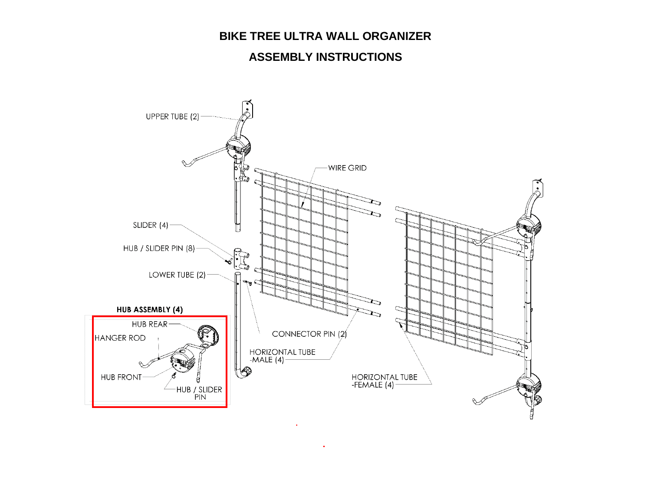## **BIKE TREE ULTRA WALL ORGANIZER**

## **ASSEMBLY INSTRUCTIONS**